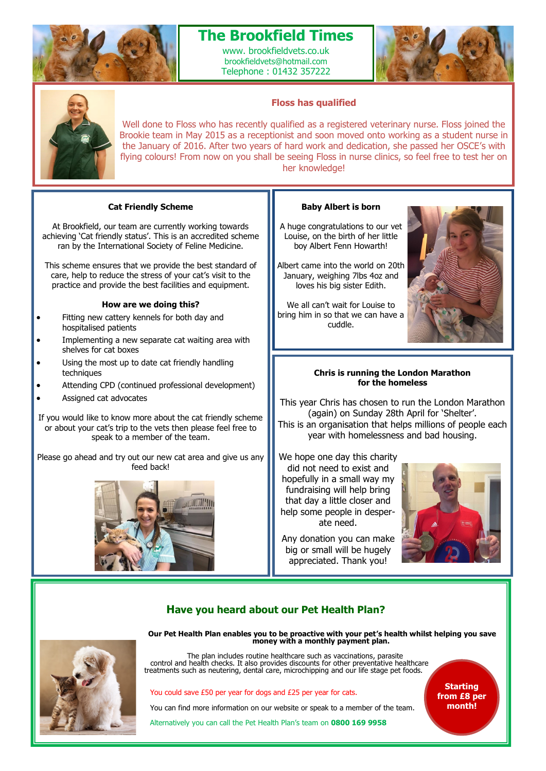

# **The Brookfield Times**

www. brookfieldvets.co.uk brookfieldvets@hotmail.com Telephone : 01432 357222





### **Floss has qualified**

Well done to Floss who has recently qualified as a registered veterinary nurse. Floss joined the Brookie team in May 2015 as a receptionist and soon moved onto working as a student nurse in the January of 2016. After two years of hard work and dedication, she passed her OSCE's with flying colours! From now on you shall be seeing Floss in nurse clinics, so feel free to test her on her knowledge!

#### **Cat Friendly Scheme**

At Brookfield, our team are currently working towards achieving 'Cat friendly status'. This is an accredited scheme ran by the International Society of Feline Medicine.

This scheme ensures that we provide the best standard of care, help to reduce the stress of your cat's visit to the practice and provide the best facilities and equipment.

#### **How are we doing this?**

- Fitting new cattery kennels for both day and hospitalised patients
- Implementing a new separate cat waiting area with shelves for cat boxes
- Using the most up to date cat friendly handling techniques
- Attending CPD (continued professional development)
- Assigned cat advocates

If you would like to know more about the cat friendly scheme or about your cat's trip to the vets then please feel free to speak to a member of the team.

Please go ahead and try out our new cat area and give us any feed back!



#### **Baby Albert is born**

A huge congratulations to our vet Louise, on the birth of her little boy Albert Fenn Howarth!

Albert came into the world on 20th January, weighing 7lbs 4oz and loves his big sister Edith.

We all can't wait for Louise to bring him in so that we can have a cuddle.



#### **Chris is running the London Marathon for the homeless**

This year Chris has chosen to run the London Marathon (again) on Sunday 28th April for 'Shelter'. This is an organisation that helps millions of people each year with homelessness and bad housing.

We hope one day this charity did not need to exist and hopefully in a small way my fundraising will help bring that day a little closer and help some people in desperate need.



Any donation you can make big or small will be hugely appreciated. Thank you!

### **Have you heard about our Pet Health Plan?**



**Our Pet Health Plan enables you to be proactive with your pet's health whilst helping you save money with a monthly payment plan.** 

The plan includes routine healthcare such as vaccinations, parasite control and health checks. It also provides discounts for other preventative healthcare treatments such as neutering, dental care, microchipping and our life stage pet foods.

You could save £50 per year for dogs and £25 per year for cats.

You can find more information on our website or speak to a member of the team.

Alternatively you can call the Pet Health Plan's team on **0800 169 9958**

**Starting from £8 per month!**